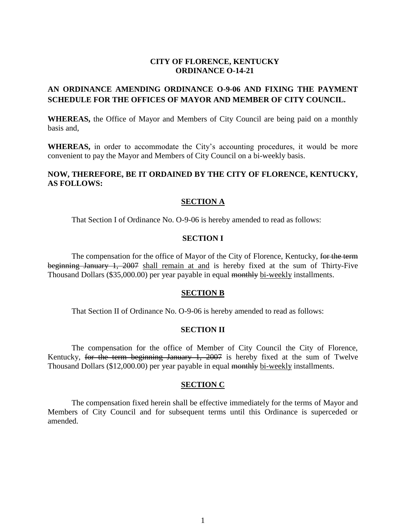## **CITY OF FLORENCE, KENTUCKY ORDINANCE O-14-21**

# **AN ORDINANCE AMENDING ORDINANCE O-9-06 AND FIXING THE PAYMENT SCHEDULE FOR THE OFFICES OF MAYOR AND MEMBER OF CITY COUNCIL.**

**WHEREAS,** the Office of Mayor and Members of City Council are being paid on a monthly basis and,

WHEREAS, in order to accommodate the City's accounting procedures, it would be more convenient to pay the Mayor and Members of City Council on a bi-weekly basis.

## **NOW, THEREFORE, BE IT ORDAINED BY THE CITY OF FLORENCE, KENTUCKY, AS FOLLOWS:**

### **SECTION A**

That Section I of Ordinance No. O-9-06 is hereby amended to read as follows:

### **SECTION I**

The compensation for the office of Mayor of the City of Florence, Kentucky, for the term beginning January 1, 2007 shall remain at and is hereby fixed at the sum of Thirty-Five Thousand Dollars (\$35,000.00) per year payable in equal monthly bi-weekly installments.

#### **SECTION B**

That Section II of Ordinance No. O-9-06 is hereby amended to read as follows:

#### **SECTION II**

The compensation for the office of Member of City Council the City of Florence, Kentucky, for the term beginning January 1, 2007 is hereby fixed at the sum of Twelve Thousand Dollars (\$12,000.00) per year payable in equal monthly bi-weekly installments.

#### **SECTION C**

The compensation fixed herein shall be effective immediately for the terms of Mayor and Members of City Council and for subsequent terms until this Ordinance is superceded or amended.